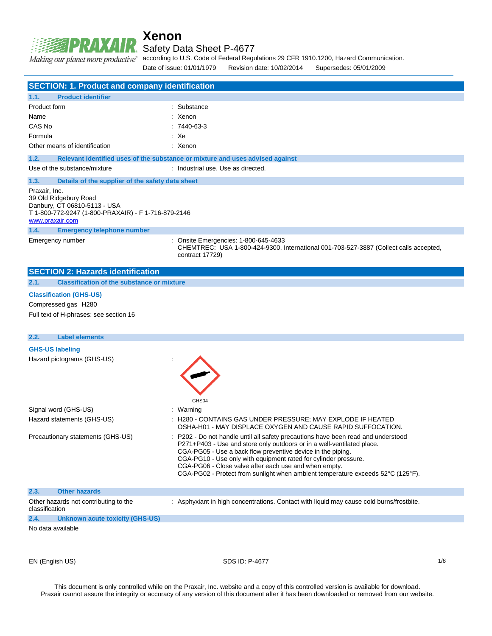

**Xenon** Safety Data Sheet P-4677

Making our planet more productive" according to U.S. Code of Federal Regulations 29 CFR 1910.1200, Hazard Communication.

Date of issue: 01/01/1979 Revision date: 10/02/2014 Supersedes: 05/01/2009

| <b>SECTION: 1. Product and company identification</b>                                                                                            |                                                                                                                                                                                                                                                                                                                                                                                                                                         |
|--------------------------------------------------------------------------------------------------------------------------------------------------|-----------------------------------------------------------------------------------------------------------------------------------------------------------------------------------------------------------------------------------------------------------------------------------------------------------------------------------------------------------------------------------------------------------------------------------------|
| <b>Product identifier</b><br>1.1.                                                                                                                |                                                                                                                                                                                                                                                                                                                                                                                                                                         |
| Product form                                                                                                                                     | : Substance                                                                                                                                                                                                                                                                                                                                                                                                                             |
| Name                                                                                                                                             | : Xenon                                                                                                                                                                                                                                                                                                                                                                                                                                 |
| CAS No                                                                                                                                           | $:7440-63-3$                                                                                                                                                                                                                                                                                                                                                                                                                            |
| Formula                                                                                                                                          | : Xe                                                                                                                                                                                                                                                                                                                                                                                                                                    |
| Other means of identification                                                                                                                    | : Xenon                                                                                                                                                                                                                                                                                                                                                                                                                                 |
| 1.2.                                                                                                                                             | Relevant identified uses of the substance or mixture and uses advised against                                                                                                                                                                                                                                                                                                                                                           |
| Use of the substance/mixture                                                                                                                     | : Industrial use. Use as directed.                                                                                                                                                                                                                                                                                                                                                                                                      |
| 1.3.<br>Details of the supplier of the safety data sheet                                                                                         |                                                                                                                                                                                                                                                                                                                                                                                                                                         |
| Praxair, Inc.<br>39 Old Ridgebury Road<br>Danbury, CT 06810-5113 - USA<br>T 1-800-772-9247 (1-800-PRAXAIR) - F 1-716-879-2146<br>www.praxair.com |                                                                                                                                                                                                                                                                                                                                                                                                                                         |
| 1.4.<br><b>Emergency telephone number</b>                                                                                                        |                                                                                                                                                                                                                                                                                                                                                                                                                                         |
| Emergency number                                                                                                                                 | : Onsite Emergencies: 1-800-645-4633<br>CHEMTREC: USA 1-800-424-9300, International 001-703-527-3887 (Collect calls accepted,<br>contract 17729)                                                                                                                                                                                                                                                                                        |
| <b>SECTION 2: Hazards identification</b>                                                                                                         |                                                                                                                                                                                                                                                                                                                                                                                                                                         |
| <b>Classification of the substance or mixture</b><br>2.1.                                                                                        |                                                                                                                                                                                                                                                                                                                                                                                                                                         |
| <b>Classification (GHS-US)</b>                                                                                                                   |                                                                                                                                                                                                                                                                                                                                                                                                                                         |
| Compressed gas H280                                                                                                                              |                                                                                                                                                                                                                                                                                                                                                                                                                                         |
| Full text of H-phrases: see section 16                                                                                                           |                                                                                                                                                                                                                                                                                                                                                                                                                                         |
|                                                                                                                                                  |                                                                                                                                                                                                                                                                                                                                                                                                                                         |
| <b>Label elements</b><br>2.2.                                                                                                                    |                                                                                                                                                                                                                                                                                                                                                                                                                                         |
| <b>GHS-US labeling</b>                                                                                                                           |                                                                                                                                                                                                                                                                                                                                                                                                                                         |
| Hazard pictograms (GHS-US)                                                                                                                       |                                                                                                                                                                                                                                                                                                                                                                                                                                         |
|                                                                                                                                                  | GHS04                                                                                                                                                                                                                                                                                                                                                                                                                                   |
| Signal word (GHS-US)                                                                                                                             | : Warning                                                                                                                                                                                                                                                                                                                                                                                                                               |
| Hazard statements (GHS-US)                                                                                                                       | : H280 - CONTAINS GAS UNDER PRESSURE; MAY EXPLODE IF HEATED<br>OSHA-H01 - MAY DISPLACE OXYGEN AND CAUSE RAPID SUFFOCATION.                                                                                                                                                                                                                                                                                                              |
| Precautionary statements (GHS-US)                                                                                                                | P202 - Do not handle until all safety precautions have been read and understood<br>P271+P403 - Use and store only outdoors or in a well-ventilated place.<br>CGA-PG05 - Use a back flow preventive device in the piping.<br>CGA-PG10 - Use only with equipment rated for cylinder pressure.<br>CGA-PG06 - Close valve after each use and when empty.<br>CGA-PG02 - Protect from sunlight when ambient temperature exceeds 52°C (125°F). |
| <b>Other hazards</b><br>2.3.                                                                                                                     |                                                                                                                                                                                                                                                                                                                                                                                                                                         |
| Other hazards not contributing to the<br>classification                                                                                          | : Asphyxiant in high concentrations. Contact with liquid may cause cold burns/frostbite.                                                                                                                                                                                                                                                                                                                                                |
| 2.4.<br><b>Unknown acute toxicity (GHS-US)</b>                                                                                                   |                                                                                                                                                                                                                                                                                                                                                                                                                                         |
| No data available                                                                                                                                |                                                                                                                                                                                                                                                                                                                                                                                                                                         |
|                                                                                                                                                  |                                                                                                                                                                                                                                                                                                                                                                                                                                         |

EN (English US) SDS ID: P-4677 1/8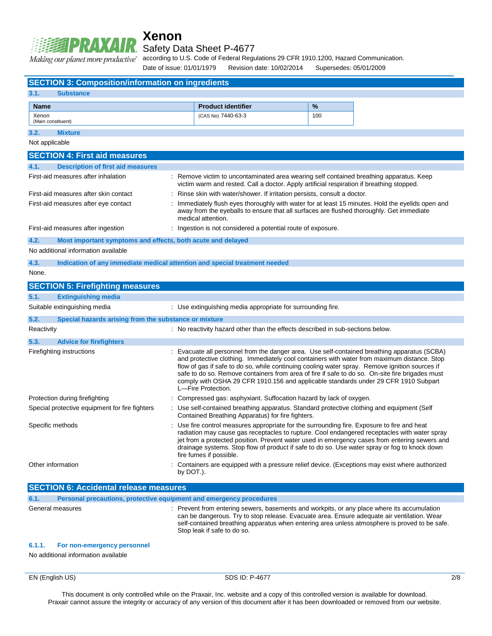

### **Xenon** Safety Data Sheet P-4677

according to U.S. Code of Federal Regulations 29 CFR 1910.1200, Hazard Communication.

Date of issue: 01/01/1979 Revision date: 10/02/2014 Supersedes: 05/01/2009

| <b>SECTION 3: Composition/information on ingredients</b>            |                                                                                                                                                                                      |     |                                                                                                                                                                                                                                                                                                                                                                                                                                                                                       |
|---------------------------------------------------------------------|--------------------------------------------------------------------------------------------------------------------------------------------------------------------------------------|-----|---------------------------------------------------------------------------------------------------------------------------------------------------------------------------------------------------------------------------------------------------------------------------------------------------------------------------------------------------------------------------------------------------------------------------------------------------------------------------------------|
| 3.1.<br><b>Substance</b>                                            |                                                                                                                                                                                      |     |                                                                                                                                                                                                                                                                                                                                                                                                                                                                                       |
| <b>Name</b>                                                         | <b>Product identifier</b>                                                                                                                                                            | %   |                                                                                                                                                                                                                                                                                                                                                                                                                                                                                       |
| Xenon                                                               | (CAS No) 7440-63-3                                                                                                                                                                   | 100 |                                                                                                                                                                                                                                                                                                                                                                                                                                                                                       |
| (Main constituent)                                                  |                                                                                                                                                                                      |     |                                                                                                                                                                                                                                                                                                                                                                                                                                                                                       |
| 3.2.<br><b>Mixture</b>                                              |                                                                                                                                                                                      |     |                                                                                                                                                                                                                                                                                                                                                                                                                                                                                       |
| Not applicable                                                      |                                                                                                                                                                                      |     |                                                                                                                                                                                                                                                                                                                                                                                                                                                                                       |
| <b>SECTION 4: First aid measures</b>                                |                                                                                                                                                                                      |     |                                                                                                                                                                                                                                                                                                                                                                                                                                                                                       |
| <b>Description of first aid measures</b><br>4.1.                    |                                                                                                                                                                                      |     |                                                                                                                                                                                                                                                                                                                                                                                                                                                                                       |
| First-aid measures after inhalation                                 | : Remove victim to uncontaminated area wearing self contained breathing apparatus. Keep<br>victim warm and rested. Call a doctor. Apply artificial respiration if breathing stopped. |     |                                                                                                                                                                                                                                                                                                                                                                                                                                                                                       |
| First-aid measures after skin contact                               | Rinse skin with water/shower. If irritation persists, consult a doctor.                                                                                                              |     |                                                                                                                                                                                                                                                                                                                                                                                                                                                                                       |
| First-aid measures after eye contact                                | away from the eyeballs to ensure that all surfaces are flushed thoroughly. Get immediate<br>medical attention.                                                                       |     | Immediately flush eyes thoroughly with water for at least 15 minutes. Hold the eyelids open and                                                                                                                                                                                                                                                                                                                                                                                       |
| First-aid measures after ingestion                                  | : Ingestion is not considered a potential route of exposure.                                                                                                                         |     |                                                                                                                                                                                                                                                                                                                                                                                                                                                                                       |
| 4.2.<br>Most important symptoms and effects, both acute and delayed |                                                                                                                                                                                      |     |                                                                                                                                                                                                                                                                                                                                                                                                                                                                                       |
| No additional information available                                 |                                                                                                                                                                                      |     |                                                                                                                                                                                                                                                                                                                                                                                                                                                                                       |
| 4.3.                                                                | Indication of any immediate medical attention and special treatment needed                                                                                                           |     |                                                                                                                                                                                                                                                                                                                                                                                                                                                                                       |
| None.                                                               |                                                                                                                                                                                      |     |                                                                                                                                                                                                                                                                                                                                                                                                                                                                                       |
| <b>SECTION 5: Firefighting measures</b>                             |                                                                                                                                                                                      |     |                                                                                                                                                                                                                                                                                                                                                                                                                                                                                       |
| 5.1.<br><b>Extinguishing media</b>                                  |                                                                                                                                                                                      |     |                                                                                                                                                                                                                                                                                                                                                                                                                                                                                       |
| Suitable extinguishing media                                        | : Use extinguishing media appropriate for surrounding fire.                                                                                                                          |     |                                                                                                                                                                                                                                                                                                                                                                                                                                                                                       |
| 5.2.<br>Special hazards arising from the substance or mixture       |                                                                                                                                                                                      |     |                                                                                                                                                                                                                                                                                                                                                                                                                                                                                       |
| Reactivity                                                          | : No reactivity hazard other than the effects described in sub-sections below.                                                                                                       |     |                                                                                                                                                                                                                                                                                                                                                                                                                                                                                       |
| 5.3.<br><b>Advice for firefighters</b>                              |                                                                                                                                                                                      |     |                                                                                                                                                                                                                                                                                                                                                                                                                                                                                       |
| Firefighting instructions                                           | L-Fire Protection.                                                                                                                                                                   |     | Evacuate all personnel from the danger area. Use self-contained breathing apparatus (SCBA)<br>and protective clothing. Immediately cool containers with water from maximum distance. Stop<br>flow of gas if safe to do so, while continuing cooling water spray. Remove ignition sources if<br>safe to do so. Remove containers from area of fire if safe to do so. On-site fire brigades must<br>comply with OSHA 29 CFR 1910.156 and applicable standards under 29 CFR 1910 Subpart |
| Protection during firefighting                                      | : Compressed gas: asphyxiant. Suffocation hazard by lack of oxygen.                                                                                                                  |     |                                                                                                                                                                                                                                                                                                                                                                                                                                                                                       |
| Special protective equipment for fire fighters                      | : Use self-contained breathing apparatus. Standard protective clothing and equipment (Self<br>Contained Breathing Apparatus) for fire fighters.                                      |     |                                                                                                                                                                                                                                                                                                                                                                                                                                                                                       |
| Specific methods                                                    | : Use fire control measures appropriate for the surrounding fire. Exposure to fire and heat<br>fire fumes if possible.                                                               |     | radiation may cause gas receptacles to rupture. Cool endangered receptacles with water spray<br>jet from a protected position. Prevent water used in emergency cases from entering sewers and<br>drainage systems. Stop flow of product if safe to do so. Use water spray or fog to knock down                                                                                                                                                                                        |
| Other information                                                   | by DOT.).                                                                                                                                                                            |     | Containers are equipped with a pressure relief device. (Exceptions may exist where authorized                                                                                                                                                                                                                                                                                                                                                                                         |
| <b>SECTION 6: Accidental release measures</b>                       |                                                                                                                                                                                      |     |                                                                                                                                                                                                                                                                                                                                                                                                                                                                                       |
| 6.1.                                                                | Personal precautions, protective equipment and emergency procedures                                                                                                                  |     |                                                                                                                                                                                                                                                                                                                                                                                                                                                                                       |

General measures **interval measures** : Prevent from entering sewers, basements and workpits, or any place where its accumulation can be dangerous. Try to stop release. Evacuate area. Ensure adequate air ventilation. Wear self-contained breathing apparatus when entering area unless atmosphere is proved to be safe. Stop leak if safe to do so.

#### **6.1.1. For non-emergency personnel**

No additional information available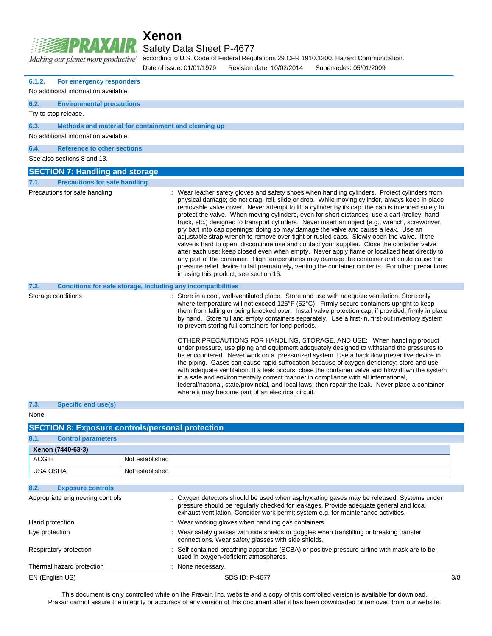|                               | <b>Xenon</b> |
|-------------------------------|--------------|
| <b>EXAMPIRAXAIR</b> Safety Da |              |

Safety Data Sheet P-4677

Making our planet more productive"

according to U.S. Code of Federal Regulations 29 CFR 1910.1200, Hazard Communication.

Date of issue: 01/01/1979 Revision date: 10/02/2014 Supersedes: 05/01/2009

| 6.1.2.<br>For emergency responders           |                                                                                                                                                                                                                                                                                                                                                                                                                                                                                                                                                                                                                                                                                                                                                                                                                                                                                                                                                                                                                                                                                                                                                                                   |
|----------------------------------------------|-----------------------------------------------------------------------------------------------------------------------------------------------------------------------------------------------------------------------------------------------------------------------------------------------------------------------------------------------------------------------------------------------------------------------------------------------------------------------------------------------------------------------------------------------------------------------------------------------------------------------------------------------------------------------------------------------------------------------------------------------------------------------------------------------------------------------------------------------------------------------------------------------------------------------------------------------------------------------------------------------------------------------------------------------------------------------------------------------------------------------------------------------------------------------------------|
| No additional information available          |                                                                                                                                                                                                                                                                                                                                                                                                                                                                                                                                                                                                                                                                                                                                                                                                                                                                                                                                                                                                                                                                                                                                                                                   |
| 6.2.<br><b>Environmental precautions</b>     |                                                                                                                                                                                                                                                                                                                                                                                                                                                                                                                                                                                                                                                                                                                                                                                                                                                                                                                                                                                                                                                                                                                                                                                   |
| Try to stop release.                         |                                                                                                                                                                                                                                                                                                                                                                                                                                                                                                                                                                                                                                                                                                                                                                                                                                                                                                                                                                                                                                                                                                                                                                                   |
| 6.3.                                         | Methods and material for containment and cleaning up                                                                                                                                                                                                                                                                                                                                                                                                                                                                                                                                                                                                                                                                                                                                                                                                                                                                                                                                                                                                                                                                                                                              |
| No additional information available          |                                                                                                                                                                                                                                                                                                                                                                                                                                                                                                                                                                                                                                                                                                                                                                                                                                                                                                                                                                                                                                                                                                                                                                                   |
| 6.4.<br><b>Reference to other sections</b>   |                                                                                                                                                                                                                                                                                                                                                                                                                                                                                                                                                                                                                                                                                                                                                                                                                                                                                                                                                                                                                                                                                                                                                                                   |
| See also sections 8 and 13.                  |                                                                                                                                                                                                                                                                                                                                                                                                                                                                                                                                                                                                                                                                                                                                                                                                                                                                                                                                                                                                                                                                                                                                                                                   |
| <b>SECTION 7: Handling and storage</b>       |                                                                                                                                                                                                                                                                                                                                                                                                                                                                                                                                                                                                                                                                                                                                                                                                                                                                                                                                                                                                                                                                                                                                                                                   |
| <b>Precautions for safe handling</b><br>7.1. |                                                                                                                                                                                                                                                                                                                                                                                                                                                                                                                                                                                                                                                                                                                                                                                                                                                                                                                                                                                                                                                                                                                                                                                   |
| Precautions for safe handling                | Wear leather safety gloves and safety shoes when handling cylinders. Protect cylinders from<br>physical damage; do not drag, roll, slide or drop. While moving cylinder, always keep in place<br>removable valve cover. Never attempt to lift a cylinder by its cap; the cap is intended solely to<br>protect the valve. When moving cylinders, even for short distances, use a cart (trolley, hand<br>truck, etc.) designed to transport cylinders. Never insert an object (e.g., wrench, screwdriver,<br>pry bar) into cap openings; doing so may damage the valve and cause a leak. Use an<br>adjustable strap wrench to remove over-tight or rusted caps. Slowly open the valve. If the<br>valve is hard to open, discontinue use and contact your supplier. Close the container valve<br>after each use; keep closed even when empty. Never apply flame or localized heat directly to<br>any part of the container. High temperatures may damage the container and could cause the<br>pressure relief device to fail prematurely, venting the container contents. For other precautions<br>in using this product, see section 16.                                            |
| 7.2.                                         | Conditions for safe storage, including any incompatibilities                                                                                                                                                                                                                                                                                                                                                                                                                                                                                                                                                                                                                                                                                                                                                                                                                                                                                                                                                                                                                                                                                                                      |
| Storage conditions                           | : Store in a cool, well-ventilated place. Store and use with adequate ventilation. Store only<br>where temperature will not exceed 125°F (52°C). Firmly secure containers upright to keep<br>them from falling or being knocked over. Install valve protection cap, if provided, firmly in place<br>by hand. Store full and empty containers separately. Use a first-in, first-out inventory system<br>to prevent storing full containers for long periods.<br>OTHER PRECAUTIONS FOR HANDLING, STORAGE, AND USE: When handling product<br>under pressure, use piping and equipment adequately designed to withstand the pressures to<br>be encountered. Never work on a pressurized system. Use a back flow preventive device in<br>the piping. Gases can cause rapid suffocation because of oxygen deficiency; store and use<br>with adequate ventilation. If a leak occurs, close the container valve and blow down the system<br>in a safe and environmentally correct manner in compliance with all international,<br>federal/national, state/provincial, and local laws; then repair the leak. Never place a container<br>where it may become part of an electrical circuit. |
| 7.3.<br><b>Specific end use(s)</b>           |                                                                                                                                                                                                                                                                                                                                                                                                                                                                                                                                                                                                                                                                                                                                                                                                                                                                                                                                                                                                                                                                                                                                                                                   |
| None.                                        |                                                                                                                                                                                                                                                                                                                                                                                                                                                                                                                                                                                                                                                                                                                                                                                                                                                                                                                                                                                                                                                                                                                                                                                   |
|                                              | <b>SECTION 8: Exposure controls/personal protection</b>                                                                                                                                                                                                                                                                                                                                                                                                                                                                                                                                                                                                                                                                                                                                                                                                                                                                                                                                                                                                                                                                                                                           |
| 8.1.<br><b>Control parameters</b>            |                                                                                                                                                                                                                                                                                                                                                                                                                                                                                                                                                                                                                                                                                                                                                                                                                                                                                                                                                                                                                                                                                                                                                                                   |
| Xenon (7440-63-3)                            |                                                                                                                                                                                                                                                                                                                                                                                                                                                                                                                                                                                                                                                                                                                                                                                                                                                                                                                                                                                                                                                                                                                                                                                   |
| <b>ACGIH</b>                                 | Not established                                                                                                                                                                                                                                                                                                                                                                                                                                                                                                                                                                                                                                                                                                                                                                                                                                                                                                                                                                                                                                                                                                                                                                   |
| <b>USA OSHA</b>                              | Not established                                                                                                                                                                                                                                                                                                                                                                                                                                                                                                                                                                                                                                                                                                                                                                                                                                                                                                                                                                                                                                                                                                                                                                   |
| 8.2.<br><b>Exposure controls</b>             |                                                                                                                                                                                                                                                                                                                                                                                                                                                                                                                                                                                                                                                                                                                                                                                                                                                                                                                                                                                                                                                                                                                                                                                   |
| Appropriate engineering controls             | Oxygen detectors should be used when asphyxiating gases may be released. Systems under<br>pressure should be regularly checked for leakages. Provide adequate general and local<br>exhaust ventilation. Consider work permit system e.g. for maintenance activities.                                                                                                                                                                                                                                                                                                                                                                                                                                                                                                                                                                                                                                                                                                                                                                                                                                                                                                              |
| Hand protection                              | : Wear working gloves when handling gas containers.                                                                                                                                                                                                                                                                                                                                                                                                                                                                                                                                                                                                                                                                                                                                                                                                                                                                                                                                                                                                                                                                                                                               |
|                                              |                                                                                                                                                                                                                                                                                                                                                                                                                                                                                                                                                                                                                                                                                                                                                                                                                                                                                                                                                                                                                                                                                                                                                                                   |

Respiratory protection : Self contained breathing apparatus (SCBA) or positive pressure airline with mask are to be used in oxygen-deficient atmospheres. Thermal hazard protection : None necessary.

EN (English US) 3/8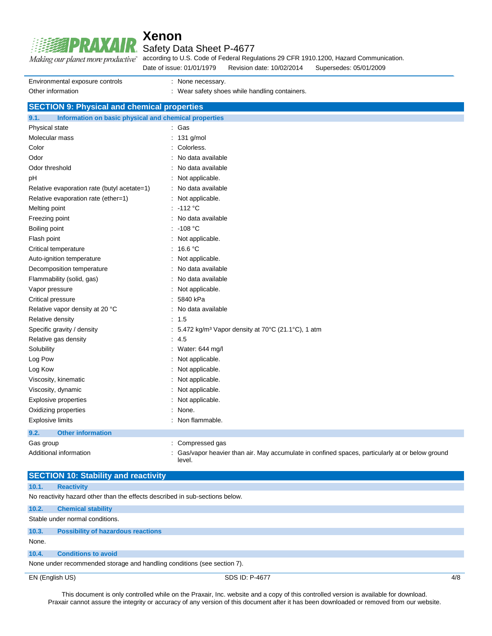

### Safety Data Sheet P-4677

according to U.S. Code of Federal Regulations 29 CFR 1910.1200, Hazard Communication. Making our planet more productive"

Date of issue: 01/01/1979 Revision date: 10/02/2014 Supersedes: 05/01/2009

| Environmental exposure controls | : None necessary.                              |
|---------------------------------|------------------------------------------------|
| Other information               | : Wear safety shoes while handling containers. |

### **SECTION 9: Physical and chemical properties**

| 9.1.<br>Information on basic physical and chemical properties |                                                                                                          |
|---------------------------------------------------------------|----------------------------------------------------------------------------------------------------------|
| Physical state                                                | : Gas                                                                                                    |
| Molecular mass                                                | : 131 g/mol                                                                                              |
| Color                                                         | Colorless.                                                                                               |
| Odor                                                          | No data available                                                                                        |
| Odor threshold                                                | : No data available                                                                                      |
| pH                                                            | : Not applicable.                                                                                        |
| Relative evaporation rate (butyl acetate=1)                   | : No data available                                                                                      |
| Relative evaporation rate (ether=1)                           | : Not applicable.                                                                                        |
| Melting point                                                 | : 112 °C                                                                                                 |
| Freezing point                                                | : No data available                                                                                      |
| Boiling point                                                 | : 108 °C                                                                                                 |
| Flash point                                                   | : Not applicable.                                                                                        |
| Critical temperature                                          | : $16.6 °C$                                                                                              |
| Auto-ignition temperature                                     | : Not applicable.                                                                                        |
| Decomposition temperature                                     | : No data available                                                                                      |
| Flammability (solid, gas)                                     | : No data available                                                                                      |
| Vapor pressure                                                | : Not applicable.                                                                                        |
| Critical pressure                                             | : 5840 kPa                                                                                               |
| Relative vapor density at 20 °C                               | : No data available                                                                                      |
| Relative density                                              | : 1.5                                                                                                    |
| Specific gravity / density                                    | : 5.472 kg/m <sup>3</sup> Vapor density at 70 $\degree$ C (21.1 $\degree$ C), 1 atm                      |
| Relative gas density                                          | : 4.5                                                                                                    |
| Solubility                                                    | : Water: 644 mg/l                                                                                        |
| Log Pow                                                       | : Not applicable.                                                                                        |
| Log Kow                                                       | : Not applicable.                                                                                        |
| Viscosity, kinematic                                          | : Not applicable.                                                                                        |
| Viscosity, dynamic                                            | : Not applicable.                                                                                        |
| Explosive properties                                          | : Not applicable.                                                                                        |
| Oxidizing properties                                          | : None.                                                                                                  |
| <b>Explosive limits</b>                                       | : Non flammable.                                                                                         |
| 9.2.<br><b>Other information</b>                              |                                                                                                          |
| Gas group                                                     | : Compressed gas                                                                                         |
| Additional information                                        | Gas/vapor heavier than air. May accumulate in confined spaces, particularly at or below ground<br>level. |

### **SECTION 10: Stability and reactivity**

**10.1. Reactivity**

No reactivity hazard other than the effects described in sub-sections below.

### **10.2. Chemical stability** Stable under normal conditions. **10.3. Possibility of hazardous reactions** None.

### **10.4. Conditions to avoid**

None under recommended storage and handling conditions (see section 7).

EN (English US) SDS ID: P-4677 4/8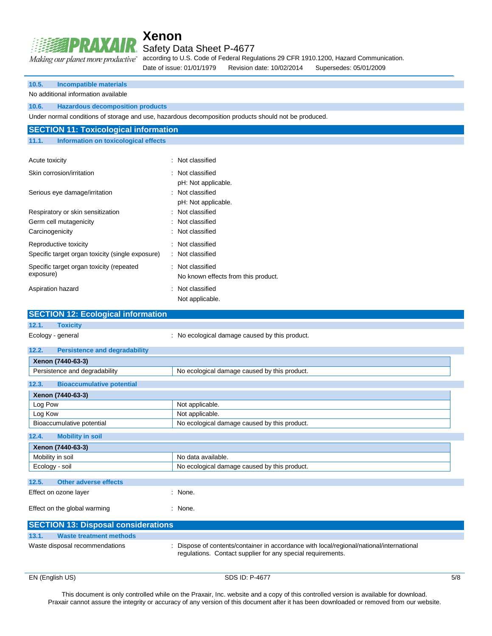

Safety Data Sheet P-4677

according to U.S. Code of Federal Regulations 29 CFR 1910.1200, Hazard Communication. Date of issue: 01/01/1979 Revision date: 10/02/2014 Supersedes: 05/01/2009

| 10.5.<br><b>Incompatible materials</b>               |                                                                                                                                                       |  |
|------------------------------------------------------|-------------------------------------------------------------------------------------------------------------------------------------------------------|--|
| No additional information available                  |                                                                                                                                                       |  |
| 10.6.<br><b>Hazardous decomposition products</b>     |                                                                                                                                                       |  |
|                                                      | Under normal conditions of storage and use, hazardous decomposition products should not be produced.                                                  |  |
| <b>SECTION 11: Toxicological information</b>         |                                                                                                                                                       |  |
| 11.1.<br><b>Information on toxicological effects</b> |                                                                                                                                                       |  |
|                                                      |                                                                                                                                                       |  |
| Acute toxicity                                       | : Not classified                                                                                                                                      |  |
| Skin corrosion/irritation                            | Not classified                                                                                                                                        |  |
|                                                      | pH: Not applicable.                                                                                                                                   |  |
| Serious eye damage/irritation                        | : Not classified                                                                                                                                      |  |
|                                                      | pH: Not applicable.                                                                                                                                   |  |
| Respiratory or skin sensitization                    | : Not classified                                                                                                                                      |  |
| Germ cell mutagenicity                               | : Not classified                                                                                                                                      |  |
| Carcinogenicity                                      | : Not classified                                                                                                                                      |  |
| Reproductive toxicity                                | : Not classified                                                                                                                                      |  |
| Specific target organ toxicity (single exposure)     | : Not classified                                                                                                                                      |  |
| Specific target organ toxicity (repeated             | : Not classified                                                                                                                                      |  |
| exposure)                                            | No known effects from this product.                                                                                                                   |  |
| Aspiration hazard                                    | : Not classified                                                                                                                                      |  |
|                                                      | Not applicable.                                                                                                                                       |  |
| <b>SECTION 12: Ecological information</b>            |                                                                                                                                                       |  |
| 12.1.<br><b>Toxicity</b>                             |                                                                                                                                                       |  |
| Ecology - general                                    | : No ecological damage caused by this product.                                                                                                        |  |
|                                                      |                                                                                                                                                       |  |
| 12.2.<br><b>Persistence and degradability</b>        |                                                                                                                                                       |  |
| Xenon (7440-63-3)<br>Persistence and degradability   | No ecological damage caused by this product.                                                                                                          |  |
|                                                      |                                                                                                                                                       |  |
| 12.3.<br><b>Bioaccumulative potential</b>            |                                                                                                                                                       |  |
| Xenon (7440-63-3)                                    |                                                                                                                                                       |  |
| Log Pow                                              | Not applicable.                                                                                                                                       |  |
| Log Kow<br>Bioaccumulative potential                 | Not applicable.<br>No ecological damage caused by this product.                                                                                       |  |
|                                                      |                                                                                                                                                       |  |
| 12.4.<br><b>Mobility in soil</b>                     |                                                                                                                                                       |  |
| Xenon (7440-63-3)                                    |                                                                                                                                                       |  |
| Mobility in soil<br>Ecology - soil                   | No data available.                                                                                                                                    |  |
|                                                      |                                                                                                                                                       |  |
|                                                      | No ecological damage caused by this product.                                                                                                          |  |
| 12.5.<br><b>Other adverse effects</b>                |                                                                                                                                                       |  |
| Effect on ozone layer                                | : None.                                                                                                                                               |  |
| Effect on the global warming                         | : None.                                                                                                                                               |  |
|                                                      |                                                                                                                                                       |  |
| <b>SECTION 13: Disposal considerations</b>           |                                                                                                                                                       |  |
| 13.1.<br><b>Waste treatment methods</b>              |                                                                                                                                                       |  |
| Waste disposal recommendations                       | Dispose of contents/container in accordance with local/regional/national/international<br>regulations. Contact supplier for any special requirements. |  |
|                                                      |                                                                                                                                                       |  |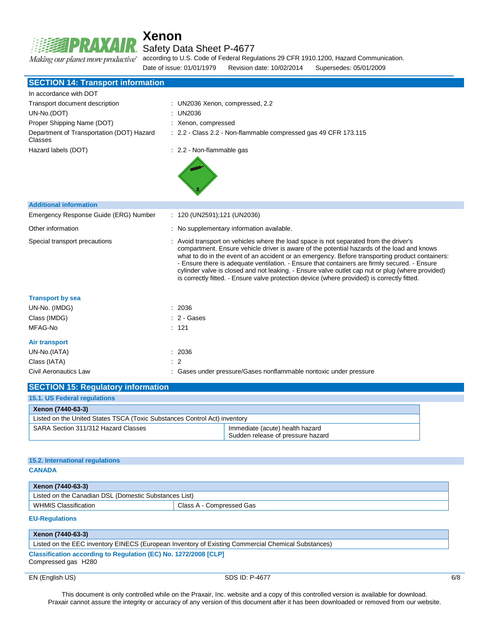# Making our planet more productive"

# **Xenon**

Safety Data Sheet P-4677

according to U.S. Code of Federal Regulations 29 CFR 1910.1200, Hazard Communication.

Date of issue: 01/01/1979 Revision date: 10/02/2014 Supersedes: 05/01/2009

| <b>SECTION 14: Transport information</b>             |                                                                                                                                                                                                                                                                                                                                                                                                                                                                                                                                                                                            |
|------------------------------------------------------|--------------------------------------------------------------------------------------------------------------------------------------------------------------------------------------------------------------------------------------------------------------------------------------------------------------------------------------------------------------------------------------------------------------------------------------------------------------------------------------------------------------------------------------------------------------------------------------------|
| In accordance with DOT                               |                                                                                                                                                                                                                                                                                                                                                                                                                                                                                                                                                                                            |
| Transport document description                       | : UN2036 Xenon, compressed, 2.2                                                                                                                                                                                                                                                                                                                                                                                                                                                                                                                                                            |
| UN-No.(DOT)                                          | : UN2036                                                                                                                                                                                                                                                                                                                                                                                                                                                                                                                                                                                   |
| Proper Shipping Name (DOT)                           | : Xenon, compressed                                                                                                                                                                                                                                                                                                                                                                                                                                                                                                                                                                        |
| Department of Transportation (DOT) Hazard<br>Classes | : 2.2 - Class 2.2 - Non-flammable compressed gas 49 CFR 173.115                                                                                                                                                                                                                                                                                                                                                                                                                                                                                                                            |
| Hazard labels (DOT)                                  | : 2.2 - Non-flammable gas                                                                                                                                                                                                                                                                                                                                                                                                                                                                                                                                                                  |
| <b>Additional information</b>                        |                                                                                                                                                                                                                                                                                                                                                                                                                                                                                                                                                                                            |
| Emergency Response Guide (ERG) Number                | : 120 (UN2591);121 (UN2036)                                                                                                                                                                                                                                                                                                                                                                                                                                                                                                                                                                |
| Other information                                    | : No supplementary information available.                                                                                                                                                                                                                                                                                                                                                                                                                                                                                                                                                  |
| Special transport precautions                        | : Avoid transport on vehicles where the load space is not separated from the driver's<br>compartment. Ensure vehicle driver is aware of the potential hazards of the load and knows<br>what to do in the event of an accident or an emergency. Before transporting product containers:<br>- Ensure there is adequate ventilation. - Ensure that containers are firmly secured. - Ensure<br>cylinder valve is closed and not leaking. - Ensure valve outlet cap nut or plug (where provided)<br>is correctly fitted. - Ensure valve protection device (where provided) is correctly fitted. |
| <b>Transport by sea</b>                              |                                                                                                                                                                                                                                                                                                                                                                                                                                                                                                                                                                                            |
| UN-No. (IMDG)                                        | : 2036                                                                                                                                                                                                                                                                                                                                                                                                                                                                                                                                                                                     |
| Class (IMDG)                                         | $: 2 - \text{Gases}$                                                                                                                                                                                                                                                                                                                                                                                                                                                                                                                                                                       |
| MFAG-No                                              | : 121                                                                                                                                                                                                                                                                                                                                                                                                                                                                                                                                                                                      |
| Air transport                                        |                                                                                                                                                                                                                                                                                                                                                                                                                                                                                                                                                                                            |
| UN-No.(IATA)                                         | : 2036                                                                                                                                                                                                                                                                                                                                                                                                                                                                                                                                                                                     |
| Class (IATA)                                         | $\therefore$ 2                                                                                                                                                                                                                                                                                                                                                                                                                                                                                                                                                                             |
| Civil Aeronautics Law                                | : Gases under pressure/Gases nonflammable nontoxic under pressure                                                                                                                                                                                                                                                                                                                                                                                                                                                                                                                          |
| <b>SECTION 15: Regulatory information</b>            |                                                                                                                                                                                                                                                                                                                                                                                                                                                                                                                                                                                            |

| 15.1. US Federal regulations                                              |                                                                      |
|---------------------------------------------------------------------------|----------------------------------------------------------------------|
| Xenon (7440-63-3)                                                         |                                                                      |
| Listed on the United States TSCA (Toxic Substances Control Act) inventory |                                                                      |
| SARA Section 311/312 Hazard Classes                                       | Immediate (acute) health hazard<br>Sudden release of pressure hazard |

### **15.2. International regulations**

**CANADA**

| Xenon (7440-63-3)                                     |                          |  |
|-------------------------------------------------------|--------------------------|--|
| Listed on the Canadian DSL (Domestic Substances List) |                          |  |
| <b>WHMIS Classification</b>                           | Class A - Compressed Gas |  |

#### **EU-Regulations**

| Xenon (7440-63-3)                                                                                  |
|----------------------------------------------------------------------------------------------------|
| Listed on the EEC inventory EINECS (European Inventory of Existing Commercial Chemical Substances) |
| Classification according to Regulation (EC) No. 1272/2008 [CLP]<br>Compressed gas H280             |

EN (English US) 6/8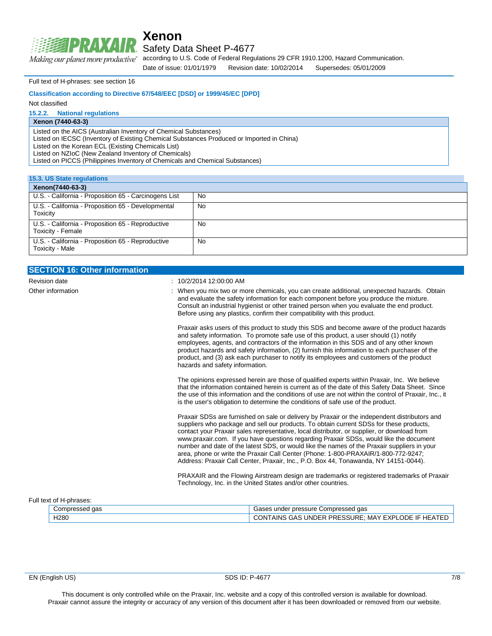

### Safety Data Sheet P-4677

according to U.S. Code of Federal Regulations 29 CFR 1910.1200, Hazard Communication. Making our planet more productive"

Date of issue: 01/01/1979 Revision date: 10/02/2014 Supersedes: 05/01/2009

Full text of H-phrases: see section 16

#### **Classification according to Directive 67/548/EEC [DSD] or 1999/45/EC [DPD]**

Not classified

#### **15.2.2. National regulations**

### **Xenon (7440-63-3)**

Listed on the AICS (Australian Inventory of Chemical Substances)

Listed on IECSC (Inventory of Existing Chemical Substances Produced or Imported in China)

Listed on the Korean ECL (Existing Chemicals List)

Listed on NZIoC (New Zealand Inventory of Chemicals)

Listed on PICCS (Philippines Inventory of Chemicals and Chemical Substances)

| 15.3. US State regulations                                             |     |  |
|------------------------------------------------------------------------|-----|--|
| Xenon(7440-63-3)                                                       |     |  |
| U.S. - California - Proposition 65 - Carcinogens List                  | No. |  |
| U.S. - California - Proposition 65 - Developmental<br>Toxicity         | No  |  |
| U.S. - California - Proposition 65 - Reproductive<br>Toxicity - Female | No. |  |
| U.S. - California - Proposition 65 - Reproductive<br>Toxicity - Male   | No  |  |

| <b>SECTION 16: Other information</b> |                                                                                                                                                                                                                                                                                                                                                                                                                                                                                                                                                                                                                                                                |
|--------------------------------------|----------------------------------------------------------------------------------------------------------------------------------------------------------------------------------------------------------------------------------------------------------------------------------------------------------------------------------------------------------------------------------------------------------------------------------------------------------------------------------------------------------------------------------------------------------------------------------------------------------------------------------------------------------------|
| <b>Revision date</b>                 | $: 10/2/201412:00.00$ AM                                                                                                                                                                                                                                                                                                                                                                                                                                                                                                                                                                                                                                       |
| Other information                    | : When you mix two or more chemicals, you can create additional, unexpected hazards. Obtain<br>and evaluate the safety information for each component before you produce the mixture.<br>Consult an industrial hygienist or other trained person when you evaluate the end product.<br>Before using any plastics, confirm their compatibility with this product.                                                                                                                                                                                                                                                                                               |
|                                      | Praxair asks users of this product to study this SDS and become aware of the product hazards<br>and safety information. To promote safe use of this product, a user should (1) notify<br>employees, agents, and contractors of the information in this SDS and of any other known<br>product hazards and safety information, (2) furnish this information to each purchaser of the<br>product, and (3) ask each purchaser to notify its employees and customers of the product<br>hazards and safety information.                                                                                                                                              |
|                                      | The opinions expressed herein are those of qualified experts within Praxair, Inc. We believe<br>that the information contained herein is current as of the date of this Safety Data Sheet. Since<br>the use of this information and the conditions of use are not within the control of Praxair, Inc., it<br>is the user's obligation to determine the conditions of safe use of the product.                                                                                                                                                                                                                                                                  |
|                                      | Praxair SDSs are furnished on sale or delivery by Praxair or the independent distributors and<br>suppliers who package and sell our products. To obtain current SDSs for these products,<br>contact your Praxair sales representative, local distributor, or supplier, or download from<br>www.praxair.com. If you have questions regarding Praxair SDSs, would like the document<br>number and date of the latest SDS, or would like the names of the Praxair suppliers in your<br>area, phone or write the Praxair Call Center (Phone: 1-800-PRAXAIR/1-800-772-9247;<br>Address: Praxair Call Center, Praxair, Inc., P.O. Box 44, Tonawanda, NY 14151-0044). |
|                                      | PRAXAIR and the Flowing Airstream design are trademarks or registered trademarks of Praxair<br>Technology, Inc. in the United States and/or other countries.                                                                                                                                                                                                                                                                                                                                                                                                                                                                                                   |

#### Full text of H-phrases:

| اom∪ت<br>$\sim$<br>uas<br>. . | uue Compresserii<br>aas<br>pressure<br>under                                                                    |
|-------------------------------|-----------------------------------------------------------------------------------------------------------------|
| H280<br>__                    | --<br>זסם<br>TAINS<br>XPI<br>. INF<br>ונונ<br>. $MAP$<br>)N<br>┉<br>4<br>∽.<br>. .<br>пc<br><u>тт</u><br>ີ<br>∼ |